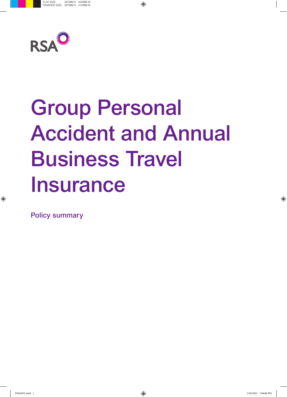

# Group Personal Accident and Annual Business Travel Insurance

Policy summary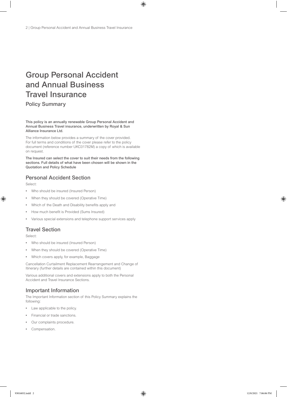# Group Personal Accident and Annual Business Travel Insurance

Policy Summary

This policy is an annually renewable Group Personal Accident and Annual Business Travel insurance, underwritten by Royal & Sun Alliance Insurance Ltd.

The information below provides a summary of the cover provided. For full terms and conditions of the cover please refer to the policy document (reference number UKC01782M) a copy of which is available on request.

The Insured can select the cover to suit their needs from the following sections. Full details of what have been chosen will be shown in the Quotation and Policy Schedule

#### Personal Accident Section

Select:

- Who should be insured (Insured Person)
- When they should be covered (Operative Time)
- Which of the Death and Disability benefits apply and
- How much benefit is Provided (Sums Insured)
- Various special extensions and telephone support services apply

#### Travel Section

Select:

- Who should be insured (Insured Person)
- When they should be covered (Operative Time)
- Which covers apply, for example, Baggage

Cancellation Curtailment Replacement Rearrangement and Change of Itinerary (further details are contained within this document)

Various additional covers and extensions apply to both the Personal Accident and Travel Insurance Sections.

#### Important Information

The Important Information section of this Policy Summary explains the following:

- Law applicable to the policy.
- Financial or trade sanctions.
- Our complaints procedure.
- Compensation.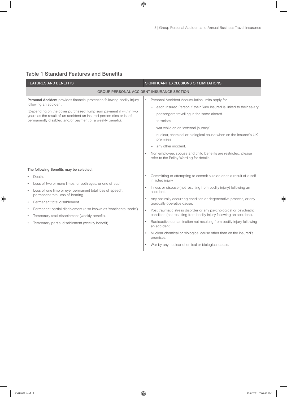## Table 1 Standard Features and Benefits

| <b>FEATURES AND BENEFITS</b>                                                                                                                                                                                                                                                                                                                                                                                                                           | SIGNIFICANT EXCLUSIONS OR LIMITATIONS                                                                                                                                                                                                                                                                                                                                                                                                                                                                                                                                                                                                                                              |  |
|--------------------------------------------------------------------------------------------------------------------------------------------------------------------------------------------------------------------------------------------------------------------------------------------------------------------------------------------------------------------------------------------------------------------------------------------------------|------------------------------------------------------------------------------------------------------------------------------------------------------------------------------------------------------------------------------------------------------------------------------------------------------------------------------------------------------------------------------------------------------------------------------------------------------------------------------------------------------------------------------------------------------------------------------------------------------------------------------------------------------------------------------------|--|
| <b>GROUP PERSONAL ACCIDENT INSURANCE SECTION</b>                                                                                                                                                                                                                                                                                                                                                                                                       |                                                                                                                                                                                                                                                                                                                                                                                                                                                                                                                                                                                                                                                                                    |  |
| Personal Accident provides financial protection following bodily injury<br>following an accident.<br>(Depending on the cover purchased, lump sum payment if within two<br>years as the result of an accident an insured person dies or is left<br>permanently disabled and/or payment of a weekly benefit).                                                                                                                                            | Personal Accident Accumulation limits apply for<br>$\bullet$<br>each Insured Person if their Sum Insured is linked to their salary<br>passengers travelling in the same aircraft.<br>terrorism.<br>war while on an 'external journey'.<br>nuclear, chemical or biological cause when on the Insured's UK<br>premises<br>any other incident.<br>Non employee, spouse and child benefits are restricted, please<br>refer to the Policy Wording for details.                                                                                                                                                                                                                          |  |
| The following Benefits may be selected:<br>Death.<br>Loss of two or more limbs, or both eyes, or one of each.<br>Loss of one limb or eye, permanent total loss of speech,<br>permanent total loss of hearing.<br>Permanent total disablement.<br>$\bullet$<br>Permanent partial disablement (also known as 'continental scale').<br>٠<br>Temporary total disablement (weekly benefit).<br>$\bullet$<br>Temporary partial disablement (weekly benefit). | Committing or attempting to commit suicide or as a result of a self<br>inflicted injury.<br>Illness or disease (not resulting from bodily injury) following an<br>accident.<br>Any naturally occurring condition or degenerative process, or any<br>$\bullet$<br>gradually operative cause.<br>Post traumatic stress disorder or any psychological or psychiatric<br>$\bullet$<br>condition (not resulting from bodily injury following an accident).<br>Radioactive contamination not resulting from bodily injury following<br>an accident.<br>Nuclear chemical or biological cause other than on the insured's<br>premises.<br>War by any nuclear chemical or biological cause. |  |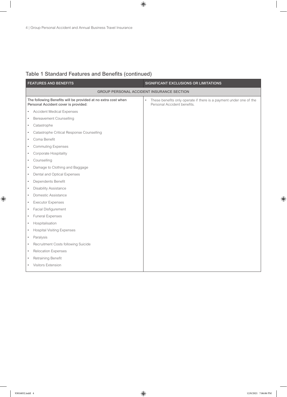| <b>FEATURES AND BENEFITS</b>                                                                          | SIGNIFICANT EXCLUSIONS OR LIMITATIONS                                                                  |
|-------------------------------------------------------------------------------------------------------|--------------------------------------------------------------------------------------------------------|
| <b>GROUP PERSONAL ACCIDENT INSURANCE SECTION</b>                                                      |                                                                                                        |
| The following Benefits will be provided at no extra cost when<br>Personal Accident cover is provided: | These benefits only operate if there is a payment under one of the<br>٠<br>Personal Accident benefits. |
| <b>Accident Medical Expenses</b><br>$\bullet$                                                         |                                                                                                        |
| <b>Bereavement Counselling</b><br>$\bullet$                                                           |                                                                                                        |
| Catastrophe<br>$\bullet$                                                                              |                                                                                                        |
| Catastrophe Critical Response Counselling<br>$\bullet$                                                |                                                                                                        |
| Coma Benefit<br>$\bullet$                                                                             |                                                                                                        |
| <b>Commuting Expenses</b><br>$\bullet$                                                                |                                                                                                        |
| Corporate Hospitality<br>$\bullet$                                                                    |                                                                                                        |
| Counselling<br>$\bullet$                                                                              |                                                                                                        |
| Damage to Clothing and Baggage<br>$\bullet$                                                           |                                                                                                        |
| Dental and Optical Expenses<br>$\bullet$                                                              |                                                                                                        |
| Dependents Benefit<br>$\bullet$                                                                       |                                                                                                        |
| <b>Disability Assistance</b><br>$\bullet$                                                             |                                                                                                        |
| Domestic Assistance<br>$\bullet$                                                                      |                                                                                                        |
| <b>Executor Expenses</b><br>$\bullet$                                                                 |                                                                                                        |
| <b>Facial Disfigurement</b><br>$\bullet$                                                              |                                                                                                        |
| <b>Funeral Expenses</b><br>$\bullet$                                                                  |                                                                                                        |
| Hospitalisation<br>$\bullet$                                                                          |                                                                                                        |
| <b>Hospital Visiting Expenses</b><br>$\bullet$                                                        |                                                                                                        |
| Paralysis<br>$\bullet$                                                                                |                                                                                                        |
| Recruitment Costs following Suicide<br>$\bullet$                                                      |                                                                                                        |
| <b>Relocation Expenses</b><br>$\bullet$                                                               |                                                                                                        |
| Retraining Benefit<br>$\bullet$                                                                       |                                                                                                        |
| Visitors Extension<br>$\bullet$                                                                       |                                                                                                        |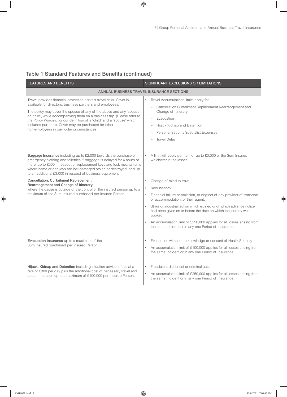| <b>FEATURES AND BENEFITS</b>                                                                                                                                                                                                                                                                                                                                                                                                                                          | SIGNIFICANT EXCLUSIONS OR LIMITATIONS                                                                                                                                                                                                                                                                                                                                                                                                                                               |  |
|-----------------------------------------------------------------------------------------------------------------------------------------------------------------------------------------------------------------------------------------------------------------------------------------------------------------------------------------------------------------------------------------------------------------------------------------------------------------------|-------------------------------------------------------------------------------------------------------------------------------------------------------------------------------------------------------------------------------------------------------------------------------------------------------------------------------------------------------------------------------------------------------------------------------------------------------------------------------------|--|
| ANNUAL BUSINESS TRAVEL INSURANCE SECTIONS                                                                                                                                                                                                                                                                                                                                                                                                                             |                                                                                                                                                                                                                                                                                                                                                                                                                                                                                     |  |
| Travel provides financial protection against travel risks. Cover is<br>available for directors, business partners and employees.<br>The policy may cover the spouse of any of the above and any 'spouse'<br>or 'child', while accompanying them on a business trip. (Please refer to<br>the Policy Wording for our definition of a 'child' and a 'spouse' which<br>includes partners). Cover may be purchased for other<br>non-employees in particular circumstances. | Travel Accumulations limits apply for:<br>$\bullet$<br>- Cancellation Curtailment Replacement Rearrangement and<br>Change of Itinerary<br>Evacuation<br>Hijack Kidnap and Detention<br>Personal Security Specialist Expenses<br><b>Travel Delay</b>                                                                                                                                                                                                                                 |  |
| Baggage Insurance including up to £2,000 towards the purchase of<br>emergency clothing and toiletries if baggage is delayed for 4 hours or<br>more, up to £500 in respect of replacement keys and lock mechanisms<br>where home or car keys are lost damaged stolen or destroyed, and up<br>to an additional £3,000 in respect of business equipment                                                                                                                  | A limit will apply per item of up to £3,000 or the Sum Insured<br>whichever is the lesser.                                                                                                                                                                                                                                                                                                                                                                                          |  |
| Cancellation, Curtailment Replacement,<br>Rearrangement and Change of Itinerary<br>where the cause is outside of the control of the insured person up to a<br>maximum of the Sum Insured purchased per Insured Person.                                                                                                                                                                                                                                                | Change of mind to travel.<br>$\bullet$<br>Redundancy.<br>Financial failure or omission, or neglect of any provider of transport<br>$\bullet$<br>or accommodation, or their agent.<br>Strike or industrial action which existed or of which advance notice<br>$\bullet$<br>had been given on or before the date on which the journey was<br>booked.<br>An accumulation limit of £250,000 applies for all losses arising from<br>the same Incident or in any one Period of Insurance. |  |
| Evacuation Insurance up to a maximum of the<br>Sum Insured purchased per Insured Person.                                                                                                                                                                                                                                                                                                                                                                              | Evacuation without the knowledge or consent of Healix Security.<br>$\bullet$<br>An accumulation limit of £100,000 applies for all losses arising from<br>$\bullet$<br>the same Incident or in any one Period of Insurance.                                                                                                                                                                                                                                                          |  |
| Hijack, Kidnap and Detention including situation advisors fees at a<br>rate of £300 per day plus the additional cost of necessary travel and<br>accommodation up to a maximum of £100,000 per Insured Person.                                                                                                                                                                                                                                                         | Fraudulent dishonest or criminal acts.<br>$\bullet$<br>An accumulation limit of £250,000 applies for all losses arising from<br>$\bullet$<br>the same Incident or in any one Period of Insurance.                                                                                                                                                                                                                                                                                   |  |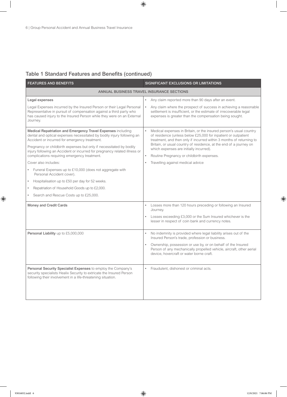| <b>FEATURES AND BENEFITS</b>                                                                                                                                                                                                       | SIGNIFICANT EXCLUSIONS OR LIMITATIONS                                                                                                                                                                                     |  |
|------------------------------------------------------------------------------------------------------------------------------------------------------------------------------------------------------------------------------------|---------------------------------------------------------------------------------------------------------------------------------------------------------------------------------------------------------------------------|--|
| ANNUAL BUSINESS TRAVEL INSURANCE SECTIONS                                                                                                                                                                                          |                                                                                                                                                                                                                           |  |
| Legal expenses                                                                                                                                                                                                                     | Any claim reported more than 90 days after an event.                                                                                                                                                                      |  |
| Legal Expenses incurred by the Insured Person or their Legal Personal<br>Representative in pursuit of compensation against a third party who<br>has caused injury to the Insured Person while they were on an External<br>Journey. | Any claim where the prospect of success in achieving a reasonable<br>$\bullet$<br>settlement is insufficient, or the estimate of irrecoverable legal<br>expenses is greater than the compensation being sought.           |  |
| Medical Repatriation and Emergency Travel Expenses including<br>dental and optical expenses necessitated by bodily injury following an<br>Accident or incurred for emergency treatment.                                            | $\bullet$<br>Medical expenses in Britain, or the insured person's usual country<br>of residence (unless below £25,000 for inpatient or outpatient<br>treatment, and then only if incurred within 3 months of returning to |  |
| Pregnancy or childbirth expenses but only if necessitated by bodily<br>injury following an Accident or incurred for pregnancy related illness or                                                                                   | Britain, or usual country of residence, at the end of a journey on<br>which expenses are initially incurred).                                                                                                             |  |
| complications requiring emergency treatment.                                                                                                                                                                                       | Routine Pregnancy or childbirth expenses.<br>$\bullet$                                                                                                                                                                    |  |
| Cover also includes:                                                                                                                                                                                                               | Travelling against medical advice                                                                                                                                                                                         |  |
| • Funeral Expenses up to £10,000 (does not aggregate with<br>Personal Accident cover).                                                                                                                                             |                                                                                                                                                                                                                           |  |
| Hospitalisation up to £50 per day for 52 weeks.<br>$\bullet$                                                                                                                                                                       |                                                                                                                                                                                                                           |  |
| Repatriation of Household Goods up to £2,000.<br>$\bullet$                                                                                                                                                                         |                                                                                                                                                                                                                           |  |
| Search and Rescue Costs up to £25,000.<br>$\bullet$                                                                                                                                                                                |                                                                                                                                                                                                                           |  |
| Money and Credit Cards                                                                                                                                                                                                             | Losses more than 120 hours preceding or following an Insured<br>Journey.                                                                                                                                                  |  |
|                                                                                                                                                                                                                                    | Losses exceeding £3,000 or the Sum Insured whichever is the<br>$\bullet$<br>lesser in respect of coin bank and currency notes.                                                                                            |  |
| Personal Liability up to £5,000,000                                                                                                                                                                                                | No indemnity is provided where legal liability arises out of the<br>Insured Person's trade, profession or business.                                                                                                       |  |
|                                                                                                                                                                                                                                    | Ownership, possession or use by, or on behalf of the Insured<br>Person of any mechanically propelled vehicle, aircraft, other aerial<br>device, hovercraft or water borne craft.                                          |  |
| Personal Security Specialist Expenses to employ the Company's<br>security specialists Healix Security to extricate the Insured Person<br>following their involvement in a life-threatening situation.                              | Fraudulent, dishonest or criminal acts.                                                                                                                                                                                   |  |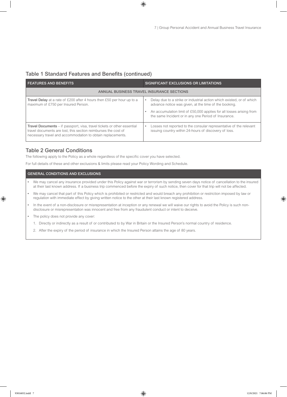| <b>FEATURES AND BENEFITS</b>                                                                                                                                                                                   | SIGNIFICANT EXCLUSIONS OR LIMITATIONS                                                                                          |  |
|----------------------------------------------------------------------------------------------------------------------------------------------------------------------------------------------------------------|--------------------------------------------------------------------------------------------------------------------------------|--|
| ANNUAL BUSINESS TRAVEL INSURANCE SECTIONS                                                                                                                                                                      |                                                                                                                                |  |
| Travel Delay at a rate of £200 after 4 hours then £50 per hour up to a<br>maximum of £750 per Insured Person.                                                                                                  | Delay due to a strike or industrial action which existed, or of which<br>advance notice was given, at the time of the booking. |  |
|                                                                                                                                                                                                                | An accumulation limit of £50,000 applies for all losses arising from<br>the same Incident or in any one Period of Insurance.   |  |
| <b>Travel Documents</b> – if passport, visa, travel tickets or other essential<br>travel documents are lost, this section reimburses the cost of<br>necessary travel and accommodation to obtain replacements. | Losses not reported to the consular representative of the relevant<br>issuing country within 24-hours of discovery of loss.    |  |

#### Table 2 General Conditions

The following apply to the Policy as a whole regardless of the specific cover you have selected.

For full details of these and other exclusions & limits please read your Policy Wording and Schedule.

#### GENERAL CONDITIONS AND EXCLUSIONS

- We may cancel any insurance provided under this Policy against war or terrorism by sending seven days notice of cancellation to the insured at their last known address. If a business trip commenced before the expiry of such notice, then cover for that trip will not be affected.
- We may cancel that part of this Policy which is prohibited or restricted and would breach any prohibition or restriction imposed by law or regulation with immediate effect by giving written notice to the other at their last known registered address.
- In the event of a non-disclosure or misrepresentation at inception or any renewal we will waive our rights to avoid the Policy is such nondisclosure or misrepresentation was innocent and free from any fraudulent conduct or intent to deceive.
- The policy does not provide any cover:
	- 1. Directly or indirectly as a result of or contributed to by War in Britain or the Insured Person's normal country of residence.
	- 2. After the expiry of the period of insurance in which the Insured Person attains the age of 80 years.